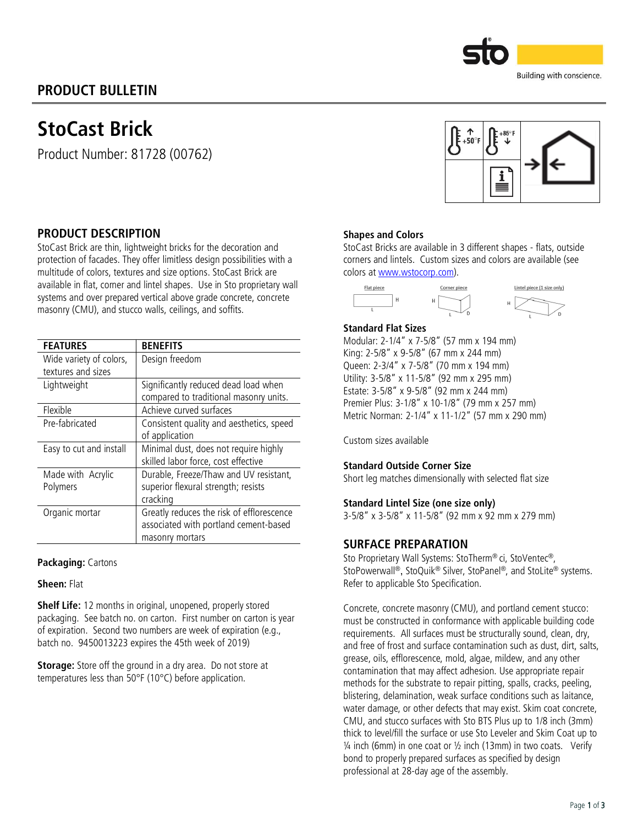# PRODUCT BULLETIN

StoCast Brick

Product Number: 81728 (00762)



Building with conscience.

## PRODUCT DESCRIPTION

StoCast Brick are thin, lightweight bricks for the decoration and protection of facades. They offer limitless design possibilities with a multitude of colors, textures and size options. StoCast Brick are available in flat, corner and lintel shapes. Use in Sto proprietary wall systems and over prepared vertical above grade concrete, concrete masonry (CMU), and stucco walls, ceilings, and soffits.

| <b>FEATURES</b>         | <b>BENEFITS</b>                           |  |  |
|-------------------------|-------------------------------------------|--|--|
| Wide variety of colors, | Design freedom                            |  |  |
| textures and sizes      |                                           |  |  |
| Lightweight             | Significantly reduced dead load when      |  |  |
|                         | compared to traditional masonry units.    |  |  |
| Flexible                | Achieve curved surfaces                   |  |  |
| Pre-fabricated          | Consistent quality and aesthetics, speed  |  |  |
|                         | of application                            |  |  |
| Easy to cut and install | Minimal dust, does not require highly     |  |  |
|                         | skilled labor force, cost effective       |  |  |
| Made with Acrylic       | Durable, Freeze/Thaw and UV resistant,    |  |  |
| Polymers                | superior flexural strength; resists       |  |  |
|                         | cracking                                  |  |  |
| Organic mortar          | Greatly reduces the risk of efflorescence |  |  |
|                         | associated with portland cement-based     |  |  |
|                         | masonry mortars                           |  |  |

#### Packaging: Cartons

#### Sheen: Flat

Shelf Life: 12 months in original, unopened, properly stored packaging. See batch no. on carton. First number on carton is year of expiration. Second two numbers are week of expiration (e.g., batch no. 9450013223 expires the 45th week of 2019)

Storage: Store off the ground in a dry area. Do not store at temperatures less than 50°F (10°C) before application.

#### Shapes and Colors

StoCast Bricks are available in 3 different shapes - flats, outside corners and lintels. Custom sizes and colors are available (see colors a[t www.wstocorp.com\)](http://www.wstocorp.com/).



#### Standard Flat Sizes

Modular: 2-1/4" x 7-5/8" (57 mm x 194 mm) King: 2-5/8" x 9-5/8" (67 mm x 244 mm) Queen: 2-3/4" x 7-5/8" (70 mm x 194 mm) Utility: 3-5/8" x 11-5/8" (92 mm x 295 mm) Estate: 3-5/8" x 9-5/8" (92 mm x 244 mm) Premier Plus: 3-1/8" x 10-1/8" (79 mm x 257 mm) Metric Norman: 2-1/4" x 11-1/2" (57 mm x 290 mm)

Custom sizes available

#### Standard Outside Corner Size

Short leg matches dimensionally with selected flat size

#### Standard Lintel Size (one size only)

3-5/8" x 3-5/8" x 11-5/8" (92 mm x 92 mm x 279 mm)

### SURFACE PREPARATION

Sto Proprietary Wall Systems: StoTherm® ci, StoVentec®, StoPowerwall®, StoQuik ® Silver, StoPanel®, and StoLite® systems. Refer to applicable Sto Specification.

Concrete, concrete masonry (CMU), and portland cement stucco: must be constructed in conformance with applicable building code requirements. All surfaces must be structurally sound, clean, dry, and free of frost and surface contamination such as dust, dirt, salts, grease, oils, efflorescence, mold, algae, mildew, and any other contamination that may affect adhesion. Use appropriate repair methods for the substrate to repair pitting, spalls, cracks, peeling, blistering, delamination, weak surface conditions such as laitance, water damage, or other defects that may exist. Skim coat concrete, CMU, and stucco surfaces with Sto BTS Plus up to 1/8 inch (3mm) thick to level/fill the surface or use Sto Leveler and Skim Coat up to  $\frac{1}{4}$  inch (6mm) in one coat or  $\frac{1}{2}$  inch (13mm) in two coats. Verify bond to properly prepared surfaces as specified by design professional at 28-day age of the assembly.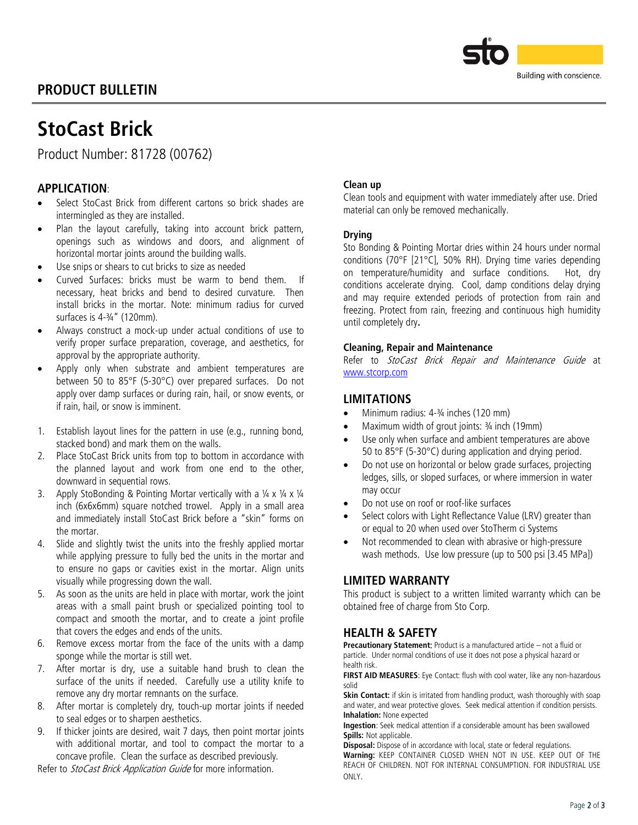# PRODUCT BULLETIN



# StoCast Brick

Product Number: 81728 (00762)

# APPLICATION:

- Select StoCast Brick from different cartons so brick shades are intermingled as they are installed.
- Plan the layout carefully, taking into account brick pattern, openings such as windows and doors, and alignment of horizontal mortar joints around the building walls.
- Use snips or shears to cut bricks to size as needed
- Curved Surfaces: bricks must be warm to bend them. If necessary, heat bricks and bend to desired curvature. Then install bricks in the mortar. Note: minimum radius for curved surfaces is 4-¾" (120mm).
- Always construct a mock-up under actual conditions of use to verify proper surface preparation, coverage, and aesthetics, for approval by the appropriate authority.
- Apply only when substrate and ambient temperatures are between 50 to 85°F (5-30°C) over prepared surfaces. Do not apply over damp surfaces or during rain, hail, or snow events, or if rain, hail, or snow is imminent.
- 1. Establish layout lines for the pattern in use (e.g., running bond, stacked bond) and mark them on the walls.
- 2. Place StoCast Brick units from top to bottom in accordance with the planned layout and work from one end to the other, downward in sequential rows.
- 3. Apply StoBonding & Pointing Mortar vertically with a  $\frac{1}{4} \times \frac{1}{4} \times \frac{1}{4}$ inch (6x6x6mm) square notched trowel. Apply in a small area and immediately install StoCast Brick before a "skin" forms on the mortar.
- 4. Slide and slightly twist the units into the freshly applied mortar while applying pressure to fully bed the units in the mortar and to ensure no gaps or cavities exist in the mortar. Align units visually while progressing down the wall.
- 5. As soon as the units are held in place with mortar, work the joint areas with a small paint brush or specialized pointing tool to compact and smooth the mortar, and to create a joint profile that covers the edges and ends of the units.
- 6. Remove excess mortar from the face of the units with a damp sponge while the mortar is still wet.
- 7. After mortar is dry, use a suitable hand brush to clean the surface of the units if needed. Carefully use a utility knife to remove any dry mortar remnants on the surface.
- 8. After mortar is completely dry, touch-up mortar joints if needed to seal edges or to sharpen aesthetics.
- 9. If thicker joints are desired, wait 7 days, then point mortar joints with additional mortar, and tool to compact the mortar to a concave profile. Clean the surface as described previously.

Refer to StoCast Brick Application Guide for more information.

#### Clean up

Clean tools and equipment with water immediately after use. Dried material can only be removed mechanically.

#### **Drving**

Sto Bonding & Pointing Mortar dries within 24 hours under normal conditions (70°F [21°C], 50% RH). Drying time varies depending on temperature/humidity and surface conditions. Hot, dry conditions accelerate drying. Cool, damp conditions delay drying and may require extended periods of protection from rain and freezing. Protect from rain, freezing and continuous high humidity until completely dry.

#### Cleaning, Repair and Maintenance

Refer to StoCast Brick Repair and Maintenance Guide at [www.stcorp.com](http://www.stcorp.com/)

### LIMITATIONS

- Minimum radius: 4-¾ inches (120 mm)
- Maximum width of grout joints: ¾ inch (19mm)
- Use only when surface and ambient temperatures are above 50 to 85°F (5-30°C) during application and drying period.
- Do not use on horizontal or below grade surfaces, projecting ledges, sills, or sloped surfaces, or where immersion in water may occur
- Do not use on roof or roof-like surfaces
- Select colors with Light Reflectance Value (LRV) greater than or equal to 20 when used over StoTherm ci Systems
- Not recommended to clean with abrasive or high-pressure wash methods. Use low pressure (up to 500 psi [3.45 MPa])

## LIMITED WARRANTY

This product is subject to a written limited warranty which can be obtained free of charge from Sto Corp.

## HEALTH & SAFETY

Precautionary Statement: Product is a manufactured article – not a fluid or particle. Under normal conditions of use it does not pose a physical hazard or health risk.

FIRST AID MEASURES: Eye Contact: flush with cool water, like any non-hazardous solid

Skin Contact: if skin is irritated from handling product, wash thoroughly with soap and water, and wear protective gloves. Seek medical attention if condition persists. Inhalation: None expected

Ingestion: Seek medical attention if a considerable amount has been swallowed Spills: Not applicable.

Disposal: Dispose of in accordance with local, state or federal regulations. Warning: KEEP CONTAINER CLOSED WHEN NOT IN USE. KEEP OUT OF THE REACH OF CHILDREN. NOT FOR INTERNAL CONSUMPTION. FOR INDUSTRIAL USE ONLY.